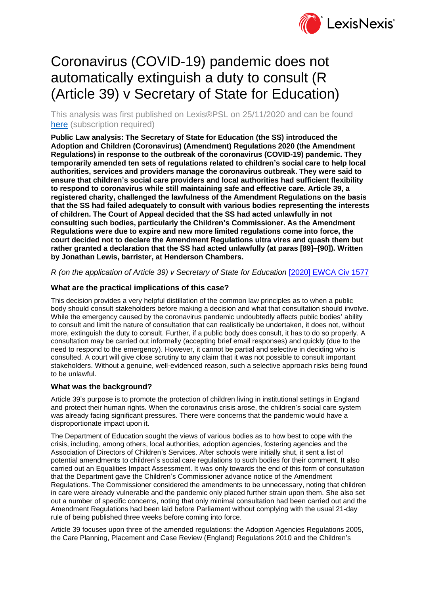

# Coronavirus (COVID-19) pandemic does not automatically extinguish a duty to consult (R (Article 39) v Secretary of State for Education)

This analysis was first published on Lexis®PSL on 25/11/2020 and can be found [here](https://www.lexisnexis.com/uk/lexispsl/localgovernment/docfromresult/D-WA-A-ZA-ZA-MsSWYWZ-UUA-UZEYAAUUW-U-U-U-U-U-U-AZUECYZCUW-AZUDAZDBUW-WCUEAYZBA-U-U/3/412012?lni=61CF-XYR3-GXFD-81J2-00000-00) (subscription required)

**Public Law analysis: The Secretary of State for Education (the SS) introduced the Adoption and Children (Coronavirus) (Amendment) Regulations 2020 (the Amendment Regulations) in response to the outbreak of the coronavirus (COVID-19) pandemic. They temporarily amended ten sets of regulations related to children's social care to help local authorities, services and providers manage the coronavirus outbreak. They were said to ensure that children's social care providers and local authorities had sufficient flexibility to respond to coronavirus while still maintaining safe and effective care. Article 39, a registered charity, challenged the lawfulness of the Amendment Regulations on the basis that the SS had failed adequately to consult with various bodies representing the interests of children. The Court of Appeal decided that the SS had acted unlawfully in not consulting such bodies, particularly the Children's Commissioner. As the Amendment Regulations were due to expire and new more limited regulations come into force, the court decided not to declare the Amendment Regulations ultra vires and quash them but rather granted a declaration that the SS had acted unlawfully (at paras [89]–[90]). Written by Jonathan Lewis, barrister, at Henderson Chambers.**

*R (on the application of Article 39) v Secretary of State for Education* [\[2020\] EWCA Civ 1577](https://www.lexisnexis.com/uk/lexispsl/localgovernment/citationlinkHandler.faces?bct=A&service=citation&risb=&EWCACIV&$sel1!%252020%25$year!%252020%25$page!%251577%25)

## **What are the practical implications of this case?**

This decision provides a very helpful distillation of the common law principles as to when a public body should consult stakeholders before making a decision and what that consultation should involve. While the emergency caused by the coronavirus pandemic undoubtedly affects public bodies' ability to consult and limit the nature of consultation that can realistically be undertaken, it does not, without more, extinguish the duty to consult. Further, if a public body does consult, it has to do so properly. A consultation may be carried out informally (accepting brief email responses) and quickly (due to the need to respond to the emergency). However, it cannot be partial and selective in deciding who is consulted. A court will give close scrutiny to any claim that it was not possible to consult important stakeholders. Without a genuine, well-evidenced reason, such a selective approach risks being found to be unlawful.

## **What was the background?**

Article 39's purpose is to promote the protection of children living in institutional settings in England and protect their human rights. When the coronavirus crisis arose, the children's social care system was already facing significant pressures. There were concerns that the pandemic would have a disproportionate impact upon it.

The Department of Education sought the views of various bodies as to how best to cope with the crisis, including, among others, local authorities, adoption agencies, fostering agencies and the Association of Directors of Children's Services. After schools were initially shut, it sent a list of potential amendments to children's social care regulations to such bodies for their comment. It also carried out an Equalities Impact Assessment. It was only towards the end of this form of consultation that the Department gave the Children's Commissioner advance notice of the Amendment Regulations. The Commissioner considered the amendments to be unnecessary, noting that children in care were already vulnerable and the pandemic only placed further strain upon them. She also set out a number of specific concerns, noting that only minimal consultation had been carried out and the Amendment Regulations had been laid before Parliament without complying with the usual 21-day rule of being published three weeks before coming into force.

Article 39 focuses upon three of the amended regulations: the Adoption Agencies Regulations 2005, the Care Planning, Placement and Case Review (England) Regulations 2010 and the Children's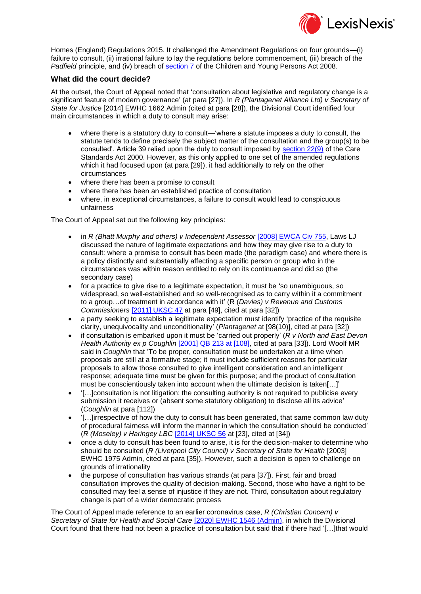

Homes (England) Regulations 2015. It challenged the Amendment Regulations on four grounds—(i) failure to consult, (ii) irrational failure to lay the regulations before commencement, (iii) breach of the *Padfield* principle, and (iv) breach of [section 7](https://www.lexisnexis.com/uk/lexispsl/localgovernment/citationlinkHandler.faces?bct=A&service=citation&risb=&UK_ACTS&$num!%252008_23a%25$section!%257%25$sect!%257%25) of the Children and Young Persons Act 2008.

#### **What did the court decide?**

At the outset, the Court of Appeal noted that 'consultation about legislative and regulatory change is a significant feature of modern governance' (at para [27]). In *R (Plantagenet Alliance Ltd) v Secretary of State for Justice* [2014] EWHC 1662 Admin (cited at para [28]), the Divisional Court identified four main circumstances in which a duty to consult may arise:

- where there is a statutory duty to consult—'where a statute imposes a duty to consult, the statute tends to define precisely the subject matter of the consultation and the group(s) to be consulted'. Article 39 relied upon the duty to consult imposed by [section 22\(9\)](https://www.lexisnexis.com/uk/lexispsl/localgovernment/citationlinkHandler.faces?bct=A&service=citation&risb=&UK_ACTS&$num!%252000_14a%25$section!%2522%25$sect!%2522%25) of the Care Standards Act 2000. However, as this only applied to one set of the amended regulations which it had focused upon (at para [29]), it had additionally to rely on the other circumstances
- where there has been a promise to consult
- where there has been an established practice of consultation
- where, in exceptional circumstances, a failure to consult would lead to conspicuous unfairness

The Court of Appeal set out the following key principles:

- in *R (Bhatt Murphy and others) v Independent Assessor* [\[2008\] EWCA Civ 755,](https://www.lexisnexis.com/uk/lexispsl/localgovernment/citationlinkHandler.faces?bct=A&service=citation&risb=&EWCACIV&$sel1!%252008%25$year!%252008%25$page!%25755%25) Laws LJ discussed the nature of legitimate expectations and how they may give rise to a duty to consult: where a promise to consult has been made (the paradigm case) and where there is a policy distinctly and substantially affecting a specific person or group who in the circumstances was within reason entitled to rely on its continuance and did so (the secondary case)
- for a practice to give rise to a legitimate expectation, it must be 'so unambiguous, so widespread, so well-established and so well-recognised as to carry within it a commitment to a group…of treatment in accordance with it' (R (*Davies) v Revenue and Customs Commissioners* [\[2011\] UKSC 47](https://www.lexisnexis.com/uk/lexispsl/localgovernment/citationlinkHandler.faces?bct=A&service=citation&risb=&UKSC&$sel1!%252011%25$year!%252011%25$page!%2547%25) at para [49], cited at para [32])
- a party seeking to establish a legitimate expectation must identify 'practice of the requisite clarity, unequivocality and unconditionality' (*Plantagenet* at [98(10)], cited at para [32])
- if consultation is embarked upon it must be 'carried out properly' (*R v North and East Devon Health Authority ex p Coughlin* [\[2001\] QB 213 at \[108\],](https://www.lexisnexis.com/uk/lexispsl/localgovernment/citationlinkHandler.faces?bct=A&service=citation&risb=&QB&$sel1!%252001%25$year!%252001%25$page!%25213%25) cited at para [33]). Lord Woolf MR said in *Coughlin* that 'To be proper, consultation must be undertaken at a time when proposals are still at a formative stage; it must include sufficient reasons for particular proposals to allow those consulted to give intelligent consideration and an intelligent response; adequate time must be given for this purpose; and the product of consultation must be conscientiously taken into account when the ultimate decision is taken[…]'
- '[…]consultation is not litigation: the consulting authority is not required to publicise every submission it receives or (absent some statutory obligation) to disclose all its advice' (*Coughlin* at para [112])
- '[…]irrespective of how the duty to consult has been generated, that same common law duty of procedural fairness will inform the manner in which the consultation should be conducted' (*R (Moseley) v Haringey LBC* [\[2014\] UKSC 56](https://www.lexisnexis.com/uk/lexispsl/localgovernment/citationlinkHandler.faces?bct=A&service=citation&risb=&UKSC&$sel1!%252014%25$year!%252014%25$page!%2556%25) at [23], cited at [34])
- once a duty to consult has been found to arise, it is for the decision-maker to determine who should be consulted (*R (Liverpool City Council) v Secretary of State for Health* [2003] EWHC 1975 Admin, cited at para [35]). However, such a decision is open to challenge on grounds of irrationality
- the purpose of consultation has various strands (at para [37]). First, fair and broad consultation improves the quality of decision-making. Second, those who have a right to be consulted may feel a sense of injustice if they are not. Third, consultation about regulatory change is part of a wider democratic process

The Court of Appeal made reference to an earlier coronavirus case, *R (Christian Concern) v Secretary of State for Health and Social Care* [\[2020\] EWHC 1546 \(Admin\),](https://www.lexisnexis.com/uk/lexispsl/localgovernment/citationlinkHandler.faces?bct=A&service=citation&risb=&EWHCADMIN&$sel1!%252020%25$year!%252020%25$page!%251546%25) in which the Divisional Court found that there had not been a practice of consultation but said that if there had '[…]that would